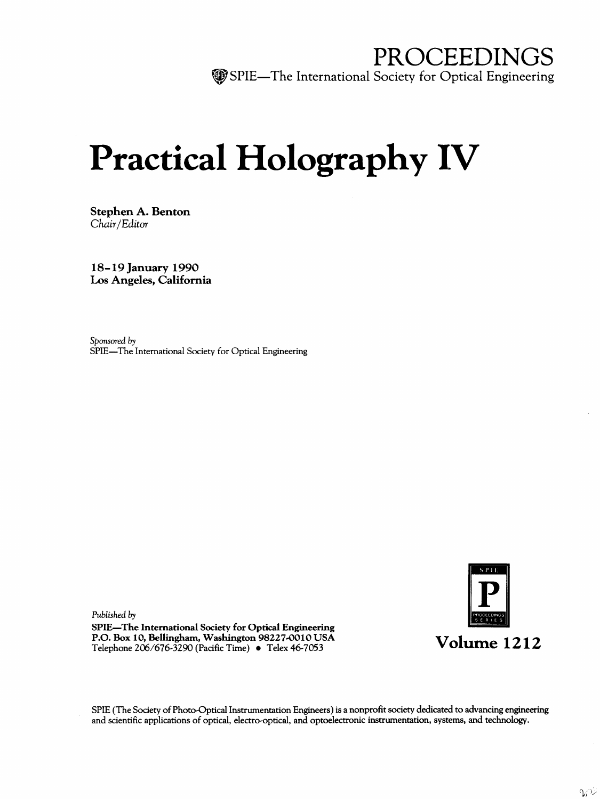PROCEEDINGS SPIE—The International Society for Optical Engineering

# Practical Holography IV

Stephen A. Benton Chair/Editor

18-19 January 1990 Los Angeles, California

Sponsored by SPIE—The International Society for Optical Engineering

Published by SPIE—The International Society for Optical Engineering P.O. Box 10, Bellingham, Washington 98227-0010 USA P.O. Box 10, Bellingham, Washington 98227-0010 USA<br>
Telephone 206/676-3290 (Pacific Time) • Telex 46-7053 Volume 1212



SPIE (The Society of Photo-Optical Instrumentation Engineers) is a nonprofit society dedicated to advancing engineering and scientific applications of optical, electro-optical, and optoelectronic instrumentation, systems, and technology.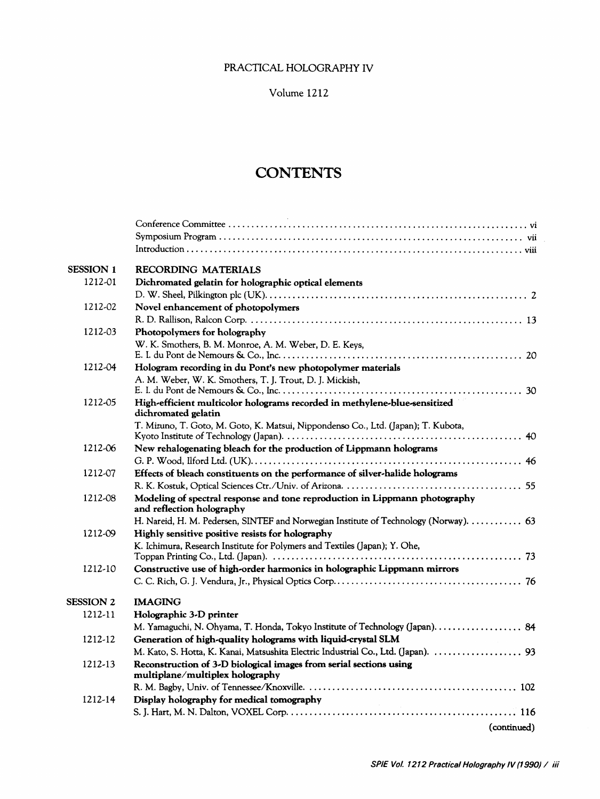### PRACTICAL HOLOGRAPHY IV

Volume 1212

# **CONTENTS**

| <b>SESSION 1</b> | RECORDING MATERIALS                                                                                      |
|------------------|----------------------------------------------------------------------------------------------------------|
| 1212-01          | Dichromated gelatin for holographic optical elements                                                     |
|                  |                                                                                                          |
| 1212-02          | Novel enhancement of photopolymers                                                                       |
|                  |                                                                                                          |
| 1212-03          | Photopolymers for holography                                                                             |
|                  | W. K. Smothers, B. M. Monroe, A. M. Weber, D. E. Keys,                                                   |
|                  |                                                                                                          |
| 1212-04          | Hologram recording in du Pont's new photopolymer materials                                               |
|                  | A. M. Weber, W. K. Smothers, T. J. Trout, D. J. Mickish,                                                 |
|                  |                                                                                                          |
| 1212-05          | High-efficient multicolor holograms recorded in methylene-blue-sensitized<br>dichromated gelatin         |
|                  | T. Mizuno, T. Goto, M. Goto, K. Matsui, Nippondenso Co., Ltd. (Japan); T. Kubota,                        |
|                  |                                                                                                          |
| 1212-06          | New rehalogenating bleach for the production of Lippmann holograms                                       |
|                  |                                                                                                          |
| 1212-07          | Effects of bleach constituents on the performance of silver-halide holograms                             |
|                  |                                                                                                          |
| 1212-08          | Modeling of spectral response and tone reproduction in Lippmann photography<br>and reflection holography |
|                  | H. Nareid, H. M. Pedersen, SINTEF and Norwegian Institute of Technology (Norway).  63                    |
| 1212-09          | Highly sensitive positive resists for holography                                                         |
|                  | K. Ichimura, Research Institute for Polymers and Textiles (Japan); Y. Ohe,                               |
|                  |                                                                                                          |
| 1212-10          | Constructive use of high-order harmonics in holographic Lippmann mirrors                                 |
|                  |                                                                                                          |
| SESSION 2        | <b>IMAGING</b>                                                                                           |
| 1212-11          | Holographic 3-D printer                                                                                  |
|                  | M. Yamaguchi, N. Ohyama, T. Honda, Tokyo Institute of Technology (Japan). 84                             |
| 1212-12          | Generation of high-quality holograms with liquid-crystal SLM                                             |
|                  | M. Kato, S. Hotta, K. Kanai, Matsushita Electric Industrial Co., Ltd. (Japan).  93                       |
| 1212-13          | Reconstruction of 3-D biological images from serial sections using<br>multiplane/multiplex holography    |
|                  |                                                                                                          |
| 1212-14          | Display holography for medical tomography                                                                |
|                  |                                                                                                          |
|                  | (continued)                                                                                              |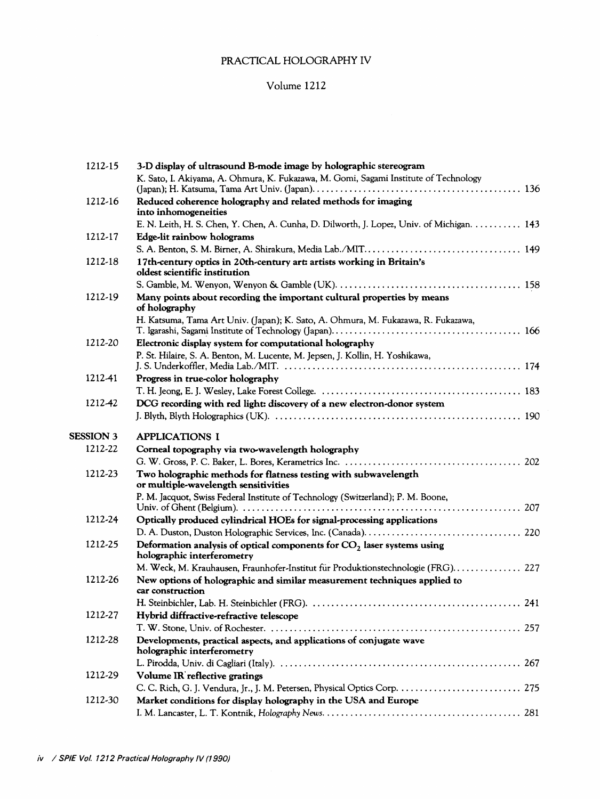## PRACTICAL HOLOGRAPHY IV

#### Volume 1212

| 1212-15            | 3-D display of ultrasound B-mode image by holographic stereogram                                        |
|--------------------|---------------------------------------------------------------------------------------------------------|
|                    | K. Sato, I. Akiyama, A. Ohmura, K. Fukazawa, M. Gomi, Sagami Institute of Technology                    |
| 1212-16            | Reduced coherence holography and related methods for imaging                                            |
|                    | into inhomogeneities                                                                                    |
|                    | E. N. Leith, H. S. Chen, Y. Chen, A. Cunha, D. Dilworth, J. Lopez, Univ. of Michigan. 143               |
| 1212-17<br>1212-18 | Edge-lit rainbow holograms                                                                              |
|                    |                                                                                                         |
|                    | 17th-century optics in 20th-century art: artists working in Britain's<br>oldest scientific institution  |
|                    |                                                                                                         |
| 1212-19            | Many points about recording the important cultural properties by means<br>of holography                 |
|                    | H. Katsuma, Tama Art Univ. (Japan); K. Sato, A. Ohmura, M. Fukazawa, R. Fukazawa,                       |
| 1212-20            | Electronic display system for computational holography                                                  |
|                    | P. St. Hilaire, S. A. Benton, M. Lucente, M. Jepsen, J. Kollin, H. Yoshikawa,                           |
|                    |                                                                                                         |
| 1212-41            | Progress in true-color holography                                                                       |
|                    |                                                                                                         |
| 1212-42            | DCG recording with red light: discovery of a new electron-donor system                                  |
|                    |                                                                                                         |
| <b>SESSION 3</b>   | <b>APPLICATIONS I</b>                                                                                   |
| 1212-22            | Corneal topography via two-wavelength holography                                                        |
|                    |                                                                                                         |
| 1212-23            | Two holographic methods for flatness testing with subwavelength<br>or multiple-wavelength sensitivities |
|                    | P. M. Jacquot, Swiss Federal Institute of Technology (Switzerland); P. M. Boone,                        |
| 1212-24            | Optically produced cylindrical HOEs for signal-processing applications                                  |
|                    |                                                                                                         |
| 1212-25            | Deformation analysis of optical components for $CO2$ laser systems using<br>holographic interferometry  |
|                    | M. Weck, M. Krauhausen, Fraunhofer-Institut für Produktionstechnologie (FRG) 227                        |
| 1212-26            | New options of holographic and similar measurement techniques applied to<br>car construction            |
|                    |                                                                                                         |
| 1212-27            | Hybrid diffractive-refractive telescope                                                                 |
|                    |                                                                                                         |
| 1212-28            | Developments, practical aspects, and applications of conjugate wave<br>holographic interferometry       |
|                    |                                                                                                         |
| 1212-29<br>1212-30 | Volume IR reflective gratings                                                                           |
|                    | C. C. Rich, G. J. Vendura, Jr., J. M. Petersen, Physical Optics Corp.  275                              |
|                    | Market conditions for display holography in the USA and Europe                                          |
|                    |                                                                                                         |